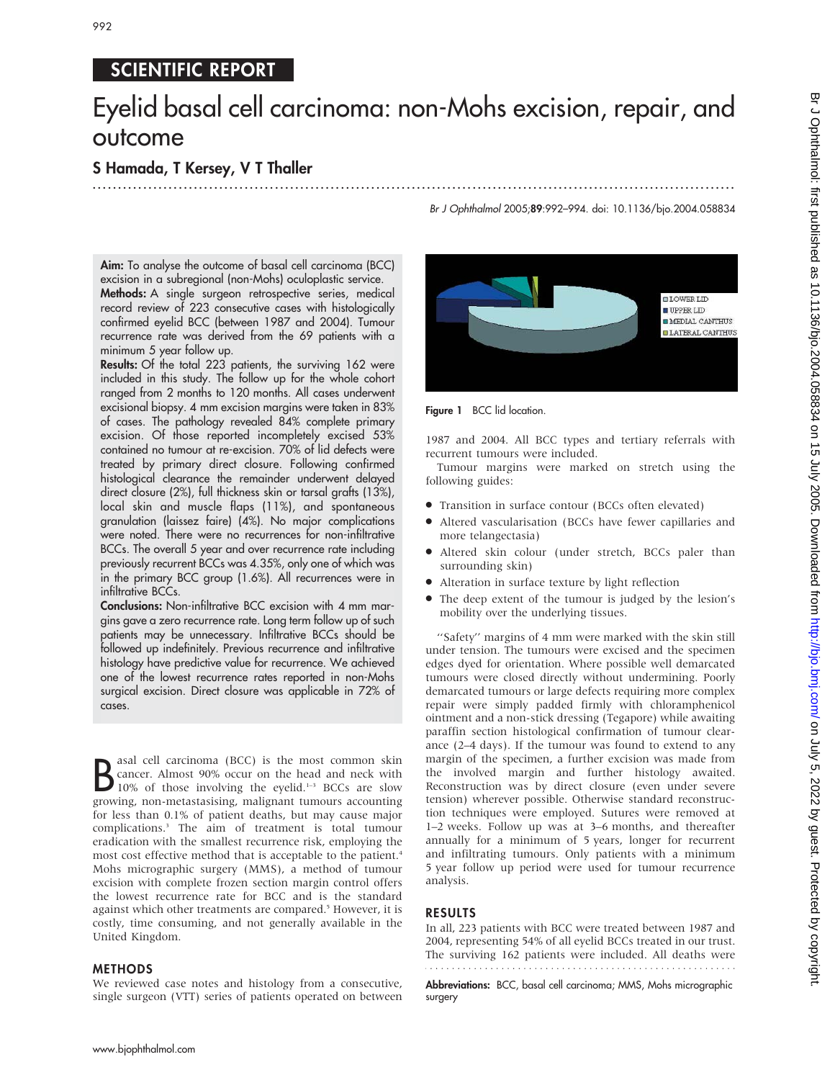# SCIENTIFIC REPORT

# Eyelid basal cell carcinoma: non-Mohs excision, repair, and outcome

...............................................................................................................................

## S Hamada, T Kersey, V T Thaller

Aim: To analyse the outcome of basal cell carcinoma (BCC) excision in a subregional (non-Mohs) oculoplastic service. Methods: A single surgeon retrospective series, medical record review of 223 consecutive cases with histologically confirmed eyelid BCC (between 1987 and 2004). Tumour recurrence rate was derived from the 69 patients with a minimum 5 year follow up.

Results: Of the total 223 patients, the surviving 162 were included in this study. The follow up for the whole cohort ranged from 2 months to 120 months. All cases underwent excisional biopsy. 4 mm excision margins were taken in 83% of cases. The pathology revealed 84% complete primary excision. Of those reported incompletely excised 53% contained no tumour at re-excision. 70% of lid defects were treated by primary direct closure. Following confirmed histological clearance the remainder underwent delayed direct closure (2%), full thickness skin or tarsal grafts (13%), local skin and muscle flaps (11%), and spontaneous granulation (laissez faire) (4%). No major complications were noted. There were no recurrences for non-infiltrative BCCs. The overall 5 year and over recurrence rate including previously recurrent BCCs was 4.35%, only one of which was in the primary BCC group (1.6%). All recurrences were in infiltrative BCCs.

Conclusions: Non-infiltrative BCC excision with 4 mm margins gave a zero recurrence rate. Long term follow up of such patients may be unnecessary. Infiltrative BCCs should be followed up indefinitely. Previous recurrence and infiltrative histology have predictive value for recurrence. We achieved one of the lowest recurrence rates reported in non-Mohs surgical excision. Direct closure was applicable in 72% of cases.

**B** as a cell carcinoma (BCC) is the most common skin<br>
10% of those involving the eyelid.<sup>1–3</sup> BCCs are slow<br>
The expectation of the exercise of the expectation asal cell carcinoma (BCC) is the most common skin cancer. Almost 90% occur on the head and neck with growing, non-metastasising, malignant tumours accounting for less than 0.1% of patient deaths, but may cause major complications.3 The aim of treatment is total tumour eradication with the smallest recurrence risk, employing the most cost effective method that is acceptable to the patient.<sup>4</sup> Mohs micrographic surgery (MMS), a method of tumour excision with complete frozen section margin control offers the lowest recurrence rate for BCC and is the standard against which other treatments are compared.<sup>5</sup> However, it is costly, time consuming, and not generally available in the United Kingdom.

### METHODS

We reviewed case notes and histology from a consecutive, single surgeon (VTT) series of patients operated on between



Figure 1 BCC lid location.

1987 and 2004. All BCC types and tertiary referrals with recurrent tumours were included.

Tumour margins were marked on stretch using the following guides:

- N Transition in surface contour (BCCs often elevated)
- Altered vascularisation (BCCs have fewer capillaries and more telangectasia)
- $\bullet$  Altered skin colour (under stretch, BCCs paler than surrounding skin)
- Alteration in surface texture by light reflection
- The deep extent of the tumour is judged by the lesion's mobility over the underlying tissues.

''Safety'' margins of 4 mm were marked with the skin still under tension. The tumours were excised and the specimen edges dyed for orientation. Where possible well demarcated tumours were closed directly without undermining. Poorly demarcated tumours or large defects requiring more complex repair were simply padded firmly with chloramphenicol ointment and a non-stick dressing (Tegapore) while awaiting paraffin section histological confirmation of tumour clearance (2–4 days). If the tumour was found to extend to any margin of the specimen, a further excision was made from the involved margin and further histology awaited. Reconstruction was by direct closure (even under severe tension) wherever possible. Otherwise standard reconstruction techniques were employed. Sutures were removed at 1–2 weeks. Follow up was at 3–6 months, and thereafter annually for a minimum of 5 years, longer for recurrent and infiltrating tumours. Only patients with a minimum 5 year follow up period were used for tumour recurrence analysis.

### RESULTS

In all, 223 patients with BCC were treated between 1987 and 2004, representing 54% of all eyelid BCCs treated in our trust. The surviving 162 patients were included. All deaths were

Abbreviations: BCC, basal cell carcinoma; MMS, Mohs micrographic surgery

# Br J Ophthalmol 2005;89:992–994. doi: 10.1136/bjo.2004.058834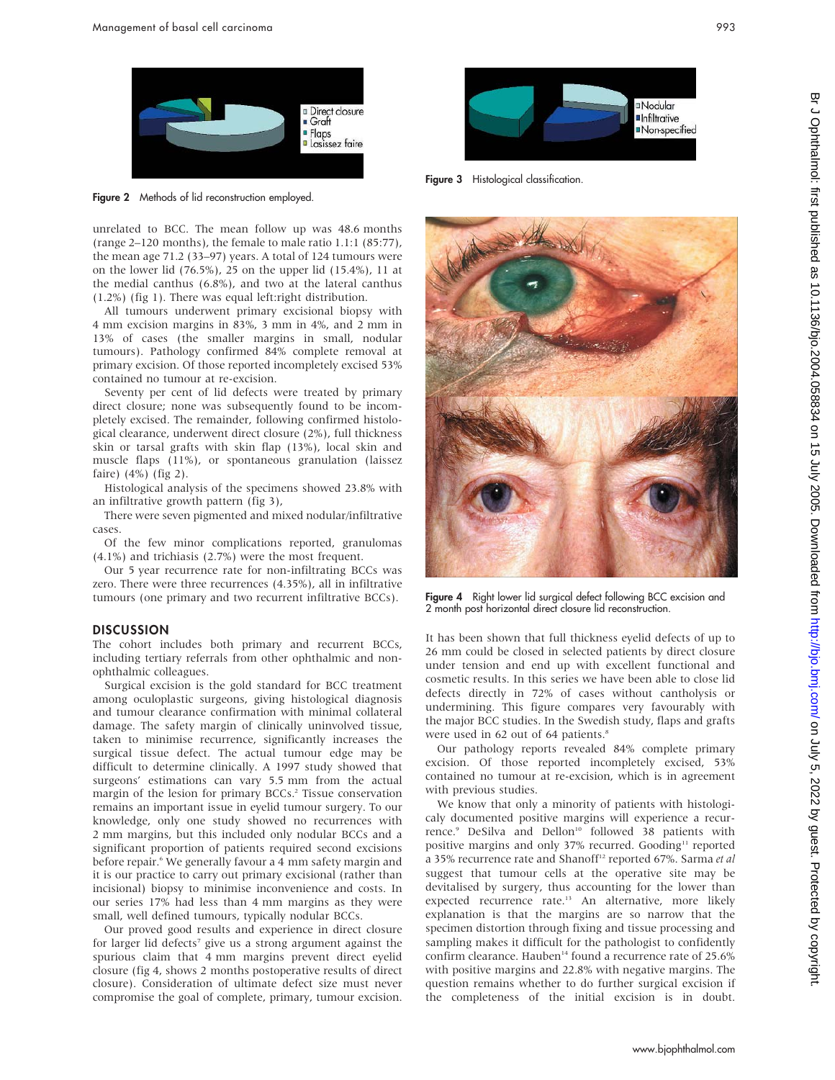

Figure 2 Methods of lid reconstruction employed.

unrelated to BCC. The mean follow up was 48.6 months (range 2–120 months), the female to male ratio 1.1:1 (85:77), the mean age 71.2 (33–97) years. A total of 124 tumours were on the lower lid (76.5%), 25 on the upper lid (15.4%), 11 at the medial canthus (6.8%), and two at the lateral canthus (1.2%) (fig 1). There was equal left:right distribution.

All tumours underwent primary excisional biopsy with 4 mm excision margins in 83%, 3 mm in 4%, and 2 mm in 13% of cases (the smaller margins in small, nodular tumours). Pathology confirmed 84% complete removal at primary excision. Of those reported incompletely excised 53% contained no tumour at re-excision.

Seventy per cent of lid defects were treated by primary direct closure; none was subsequently found to be incompletely excised. The remainder, following confirmed histological clearance, underwent direct closure (2%), full thickness skin or tarsal grafts with skin flap (13%), local skin and muscle flaps (11%), or spontaneous granulation (laissez faire) (4%) (fig 2).

Histological analysis of the specimens showed 23.8% with an infiltrative growth pattern (fig 3),

There were seven pigmented and mixed nodular/infiltrative cases.

Of the few minor complications reported, granulomas (4.1%) and trichiasis (2.7%) were the most frequent.

Our 5 year recurrence rate for non-infiltrating BCCs was zero. There were three recurrences (4.35%), all in infiltrative tumours (one primary and two recurrent infiltrative BCCs).

#### **DISCUSSION**

The cohort includes both primary and recurrent BCCs, including tertiary referrals from other ophthalmic and nonophthalmic colleagues.

Surgical excision is the gold standard for BCC treatment among oculoplastic surgeons, giving histological diagnosis and tumour clearance confirmation with minimal collateral damage. The safety margin of clinically uninvolved tissue, taken to minimise recurrence, significantly increases the surgical tissue defect. The actual tumour edge may be difficult to determine clinically. A 1997 study showed that surgeons' estimations can vary 5.5 mm from the actual margin of the lesion for primary BCCs.<sup>2</sup> Tissue conservation remains an important issue in eyelid tumour surgery. To our knowledge, only one study showed no recurrences with 2 mm margins, but this included only nodular BCCs and a significant proportion of patients required second excisions before repair.<sup>6</sup> We generally favour a 4 mm safety margin and it is our practice to carry out primary excisional (rather than incisional) biopsy to minimise inconvenience and costs. In our series 17% had less than 4 mm margins as they were small, well defined tumours, typically nodular BCCs.

Our proved good results and experience in direct closure for larger lid defects<sup>7</sup> give us a strong argument against the spurious claim that 4 mm margins prevent direct eyelid closure (fig 4, shows 2 months postoperative results of direct closure). Consideration of ultimate defect size must never compromise the goal of complete, primary, tumour excision.



Figure 3 Histological classification.



Figure 4 Right lower lid surgical defect following BCC excision and 2 month post horizontal direct closure lid reconstruction.

It has been shown that full thickness eyelid defects of up to 26 mm could be closed in selected patients by direct closure under tension and end up with excellent functional and cosmetic results. In this series we have been able to close lid defects directly in 72% of cases without cantholysis or undermining. This figure compares very favourably with the major BCC studies. In the Swedish study, flaps and grafts were used in 62 out of 64 patients.<sup>8</sup>

Our pathology reports revealed 84% complete primary excision. Of those reported incompletely excised, 53% contained no tumour at re-excision, which is in agreement with previous studies.

We know that only a minority of patients with histologicaly documented positive margins will experience a recurrence.<sup>9</sup> DeSilva and Dellon<sup>10</sup> followed 38 patients with positive margins and only 37% recurred. Gooding<sup>11</sup> reported a 35% recurrence rate and Shanoff<sup>12</sup> reported 67%. Sarma et al suggest that tumour cells at the operative site may be devitalised by surgery, thus accounting for the lower than expected recurrence rate.<sup>13</sup> An alternative, more likely explanation is that the margins are so narrow that the specimen distortion through fixing and tissue processing and sampling makes it difficult for the pathologist to confidently confirm clearance. Hauben<sup>14</sup> found a recurrence rate of 25.6% with positive margins and 22.8% with negative margins. The question remains whether to do further surgical excision if the completeness of the initial excision is in doubt.